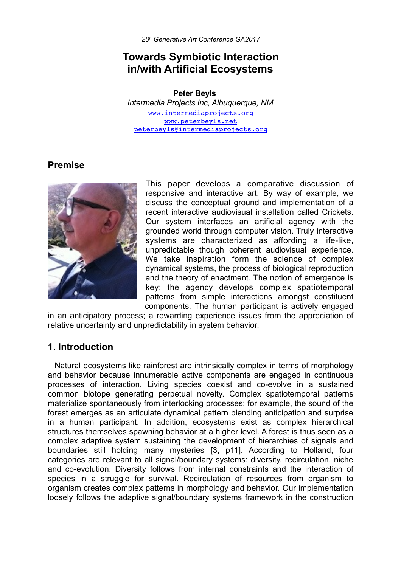# **Towards Symbiotic Interaction in/with Artificial Ecosystems**

#### **Peter Beyls**

*Intermedia Projects Inc, Albuquerque, NM* [www.intermediaprojects.org](http://www.intermediaprojects.org) [www.peterbeyls.net](http://www.peterbeyls.net) [peterbeyls@intermediaprojects.org](mailto:peterbeyls@intermediaprojects.org)

# **Premise**



This paper develops a comparative discussion of responsive and interactive art. By way of example, we discuss the conceptual ground and implementation of a recent interactive audiovisual installation called Crickets. Our system interfaces an artificial agency with the grounded world through computer vision. Truly interactive systems are characterized as affording a life-like. unpredictable though coherent audiovisual experience. We take inspiration form the science of complex dynamical systems, the process of biological reproduction and the theory of enactment. The notion of emergence is key; the agency develops complex spatiotemporal patterns from simple interactions amongst constituent components. The human participant is actively engaged

in an anticipatory process; a rewarding experience issues from the appreciation of relative uncertainty and unpredictability in system behavior.

# **1. Introduction**

Natural ecosystems like rainforest are intrinsically complex in terms of morphology and behavior because innumerable active components are engaged in continuous processes of interaction. Living species coexist and co-evolve in a sustained common biotope generating perpetual novelty. Complex spatiotemporal patterns materialize spontaneously from interlocking processes; for example, the sound of the forest emerges as an articulate dynamical pattern blending anticipation and surprise in a human participant. In addition, ecosystems exist as complex hierarchical structures themselves spawning behavior at a higher level. A forest is thus seen as a complex adaptive system sustaining the development of hierarchies of signals and boundaries still holding many mysteries [3, p11]. According to Holland, four categories are relevant to all signal/boundary systems: diversity, recirculation, niche and co-evolution. Diversity follows from internal constraints and the interaction of species in a struggle for survival. Recirculation of resources from organism to organism creates complex patterns in morphology and behavior. Our implementation loosely follows the adaptive signal/boundary systems framework in the construction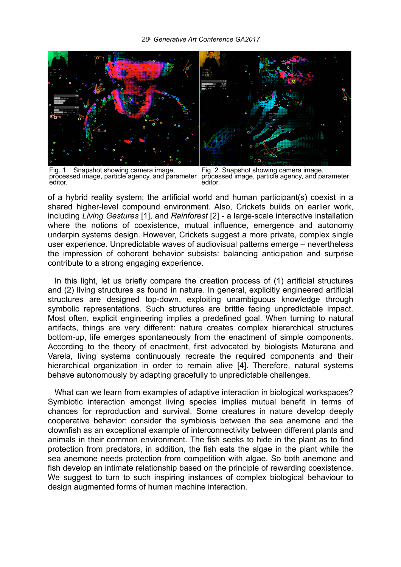

Fig. 1. Snapshot showing camera image, processed image, particle agency, and parameter editor.

Fig. 2. Snapshot showing camera image, processed image, particle agency, and parameter editor.

of a hybrid reality system; the artificial world and human participant(s) coexist in a shared higher-level compound environment. Also, Crickets builds on earlier work, including *Living Gestures* [1], and *Rainforest* [2] - a large-scale interactive installation where the notions of coexistence, mutual influence, emergence and autonomy underpin systems design. However, Crickets suggest a more private, complex single user experience. Unpredictable waves of audiovisual patterns emerge – nevertheless the impression of coherent behavior subsists: balancing anticipation and surprise contribute to a strong engaging experience.

In this light, let us briefly compare the creation process of (1) artificial structures and (2) living structures as found in nature. In general, explicitly engineered artificial structures are designed top-down, exploiting unambiguous knowledge through symbolic representations. Such structures are brittle facing unpredictable impact. Most often, explicit engineering implies a predefined goal. When turning to natural artifacts, things are very different: nature creates complex hierarchical structures bottom-up, life emerges spontaneously from the enactment of simple components. According to the theory of enactment, first advocated by biologists Maturana and Varela, living systems continuously recreate the required components and their hierarchical organization in order to remain alive [4]. Therefore, natural systems behave autonomously by adapting gracefully to unpredictable challenges.

What can we learn from examples of adaptive interaction in biological workspaces? Symbiotic interaction amongst living species implies mutual benefit in terms of chances for reproduction and survival. Some creatures in nature develop deeply cooperative behavior: consider the symbiosis between the sea anemone and the clownfish as an exceptional example of interconnectivity between different plants and animals in their common environment. The fish seeks to hide in the plant as to find protection from predators, in addition, the fish eats the algae in the plant while the sea anemone needs protection from competition with algae. So both anemone and fish develop an intimate relationship based on the principle of rewarding coexistence. We suggest to turn to such inspiring instances of complex biological behaviour to design augmented forms of human machine interaction.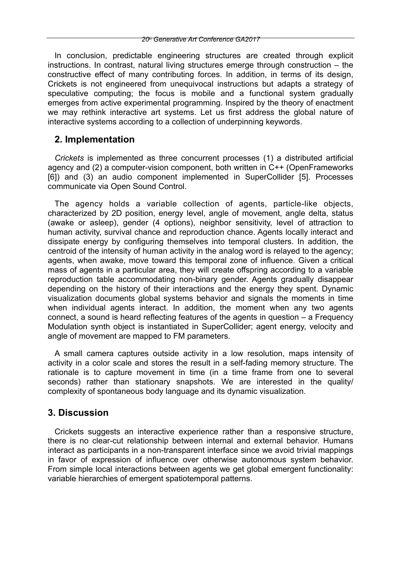In conclusion, predictable engineering structures are created through explicit instructions. In contrast, natural living structures emerge through construction – the constructive effect of many contributing forces. In addition, in terms of its design, Crickets is not engineered from unequivocal instructions but adapts a strategy of speculative computing; the focus is mobile and a functional system gradually emerges from active experimental programming. Inspired by the theory of enactment we may rethink interactive art systems. Let us first address the global nature of interactive systems according to a collection of underpinning keywords.

### **2. Implementation**

*Crickets* is implemented as three concurrent processes (1) a distributed artificial agency and (2) a computer-vision component, both written in C++ (OpenFrameworks [6]) and (3) an audio component implemented in SuperCollider [5]. Processes communicate via Open Sound Control.

The agency holds a variable collection of agents, particle-like objects, characterized by 2D position, energy level, angle of movement, angle delta, status (awake or asleep), gender (4 options), neighbor sensitivity, level of attraction to human activity, survival chance and reproduction chance. Agents locally interact and dissipate energy by configuring themselves into temporal clusters. In addition, the centroid of the intensity of human activity in the analog word is relayed to the agency; agents, when awake, move toward this temporal zone of influence. Given a critical mass of agents in a particular area, they will create offspring according to a variable reproduction table accommodating non-binary gender. Agents gradually disappear depending on the history of their interactions and the energy they spent. Dynamic visualization documents global systems behavior and signals the moments in time when individual agents interact. In addition, the moment when any two agents connect, a sound is heard reflecting features of the agents in question – a Frequency Modulation synth object is instantiated in SuperCollider; agent energy, velocity and angle of movement are mapped to FM parameters.

A small camera captures outside activity in a low resolution, maps intensity of activity in a color scale and stores the result in a self-fading memory structure. The rationale is to capture movement in time (in a time frame from one to several seconds) rather than stationary snapshots. We are interested in the quality/ complexity of spontaneous body language and its dynamic visualization.

## **3. Discussion**

Crickets suggests an interactive experience rather than a responsive structure, there is no clear-cut relationship between internal and external behavior. Humans interact as participants in a non-transparent interface since we avoid trivial mappings in favor of expression of influence over otherwise autonomous system behavior. From simple local interactions between agents we get global emergent functionality: variable hierarchies of emergent spatiotemporal patterns.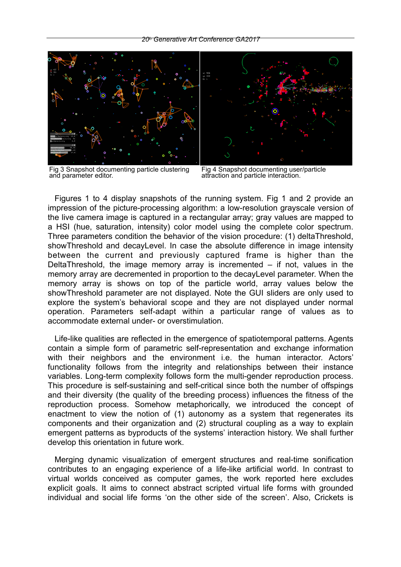

Fig 3 Snapshot documenting particle clustering and parameter editor. Fig 4 Snapshot documenting user/particle

Fig 4 Snapshot documenting user/particle<br>attraction and particle interaction.

Figures 1 to 4 display snapshots of the running system. Fig 1 and 2 provide an impression of the picture-processing algorithm: a low-resolution grayscale version of the live camera image is captured in a rectangular array; gray values are mapped to a HSI (hue, saturation, intensity) color model using the complete color spectrum. Three parameters condition the behavior of the vision procedure: (1) deltaThreshold, showThreshold and decayLevel. In case the absolute difference in image intensity between the current and previously captured frame is higher than the DeltaThreshold, the image memory array is incremented – if not, values in the memory array are decremented in proportion to the decayLevel parameter. When the memory array is shows on top of the particle world, array values below the showThreshold parameter are not displayed. Note the GUI sliders are only used to explore the system's behavioral scope and they are not displayed under normal operation. Parameters self-adapt within a particular range of values as to accommodate external under- or overstimulation.

Life-like qualities are reflected in the emergence of spatiotemporal patterns. Agents contain a simple form of parametric self-representation and exchange information with their neighbors and the environment i.e. the human interactor. Actors' functionality follows from the integrity and relationships between their instance variables. Long-term complexity follows form the multi-gender reproduction process. This procedure is self-sustaining and self-critical since both the number of offspings and their diversity (the quality of the breeding process) influences the fitness of the reproduction process. Somehow metaphorically, we introduced the concept of enactment to view the notion of (1) autonomy as a system that regenerates its components and their organization and (2) structural coupling as a way to explain emergent patterns as byproducts of the systems' interaction history. We shall further develop this orientation in future work.

Merging dynamic visualization of emergent structures and real-time sonification contributes to an engaging experience of a life-like artificial world. In contrast to virtual worlds conceived as computer games, the work reported here excludes explicit goals. It aims to connect abstract scripted virtual life forms with grounded individual and social life forms 'on the other side of the screen'. Also, Crickets is